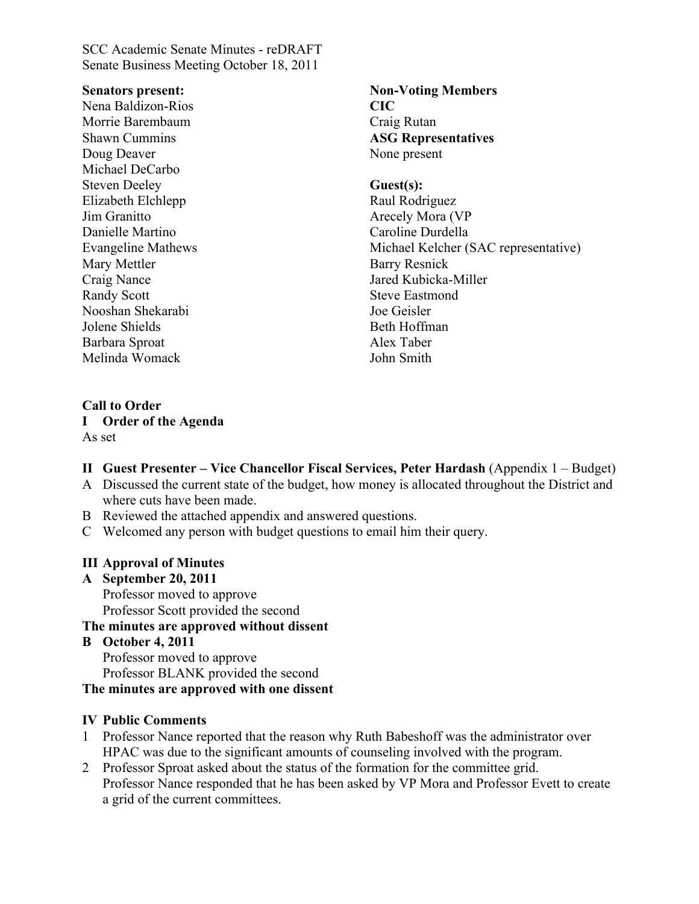SCC Academic Senate Minutes - reDRAFT Senate Business Meeting October 18, 2011

#### **Senators present:**

Nena Baldizon-Rios Morrie Barembaum Shawn Cummins Doug Deaver Michael DeCarbo Steven Deeley Elizabeth Elchlepp Jim Granitto Danielle Martino Evangeline Mathews Mary Mettler Craig Nance Randy Scott Nooshan Shekarabi Jolene Shields Barbara Sproat Melinda Womack

#### **Non-Voting Members CIC** Craig Rutan **ASG Representatives** None present

#### **Guest(s):**

Raul Rodriguez Arecely Mora (VP Caroline Durdella Michael Kelcher (SAC representative) Barry Resnick Jared Kubicka-Miller Steve Eastmond Joe Geisler Beth Hoffman Alex Taber John Smith

## **Call to Order**

#### **I Order of the Agenda**

As set

## **II Guest Presenter – Vice Chancellor Fiscal Services, Peter Hardash** (Appendix 1 – Budget)

- A Discussed the current state of the budget, how money is allocated throughout the District and where cuts have been made.
- B Reviewed the attached appendix and answered questions.
- C Welcomed any person with budget questions to email him their query.

## **III Approval of Minutes**

## **A September 20, 2011**

Professor moved to approve Professor Scott provided the second

## **The minutes are approved without dissent**

## **B October 4, 2011**

Professor moved to approve Professor BLANK provided the second

## **The minutes are approved with one dissent**

## **IV Public Comments**

- 1 Professor Nance reported that the reason why Ruth Babeshoff was the administrator over HPAC was due to the significant amounts of counseling involved with the program.
- 2 Professor Sproat asked about the status of the formation for the committee grid. Professor Nance responded that he has been asked by VP Mora and Professor Evett to create a grid of the current committees.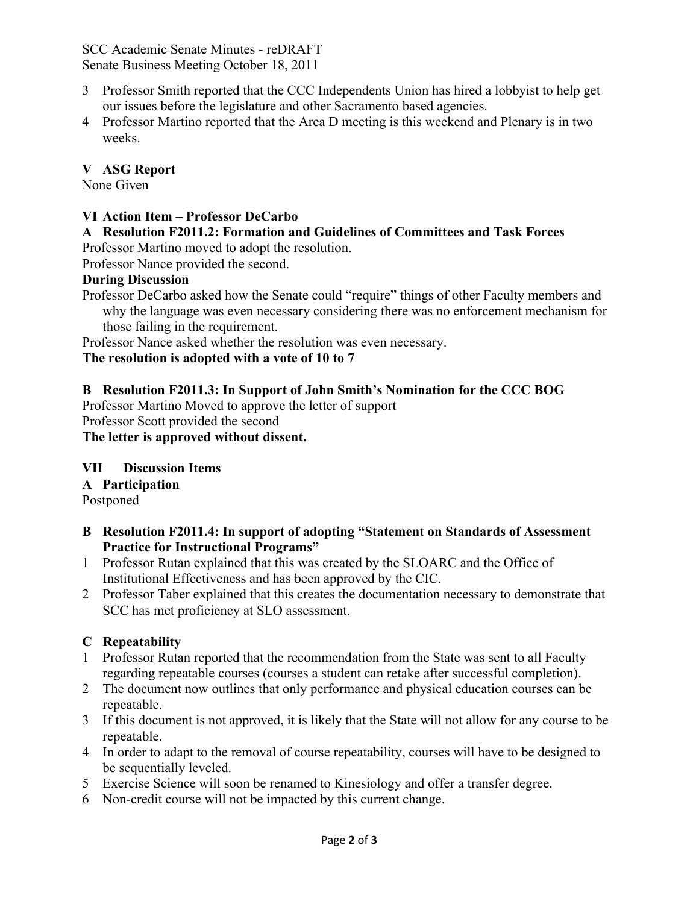SCC Academic Senate Minutes - reDRAFT Senate Business Meeting October 18, 2011

- 3 Professor Smith reported that the CCC Independents Union has hired a lobbyist to help get our issues before the legislature and other Sacramento based agencies.
- 4 Professor Martino reported that the Area D meeting is this weekend and Plenary is in two weeks.

# **V ASG Report**

None Given

## **VI Action Item – Professor DeCarbo**

# **A Resolution F2011.2: Formation and Guidelines of Committees and Task Forces**

Professor Martino moved to adopt the resolution.

Professor Nance provided the second.

## **During Discussion**

Professor DeCarbo asked how the Senate could "require" things of other Faculty members and why the language was even necessary considering there was no enforcement mechanism for those failing in the requirement.

Professor Nance asked whether the resolution was even necessary.

# **The resolution is adopted with a vote of 10 to 7**

# **B Resolution F2011.3: In Support of John Smith's Nomination for the CCC BOG**

Professor Martino Moved to approve the letter of support Professor Scott provided the second

**The letter is approved without dissent.**

## **VII Discussion Items**

**A Participation**

Postponed

- **B Resolution F2011.4: In support of adopting "Statement on Standards of Assessment Practice for Instructional Programs"**
- 1 Professor Rutan explained that this was created by the SLOARC and the Office of Institutional Effectiveness and has been approved by the CIC.
- 2 Professor Taber explained that this creates the documentation necessary to demonstrate that SCC has met proficiency at SLO assessment.

## **C Repeatability**

- 1 Professor Rutan reported that the recommendation from the State was sent to all Faculty regarding repeatable courses (courses a student can retake after successful completion).
- 2 The document now outlines that only performance and physical education courses can be repeatable.
- 3 If this document is not approved, it is likely that the State will not allow for any course to be repeatable.
- 4 In order to adapt to the removal of course repeatability, courses will have to be designed to be sequentially leveled.
- 5 Exercise Science will soon be renamed to Kinesiology and offer a transfer degree.
- 6 Non-credit course will not be impacted by this current change.